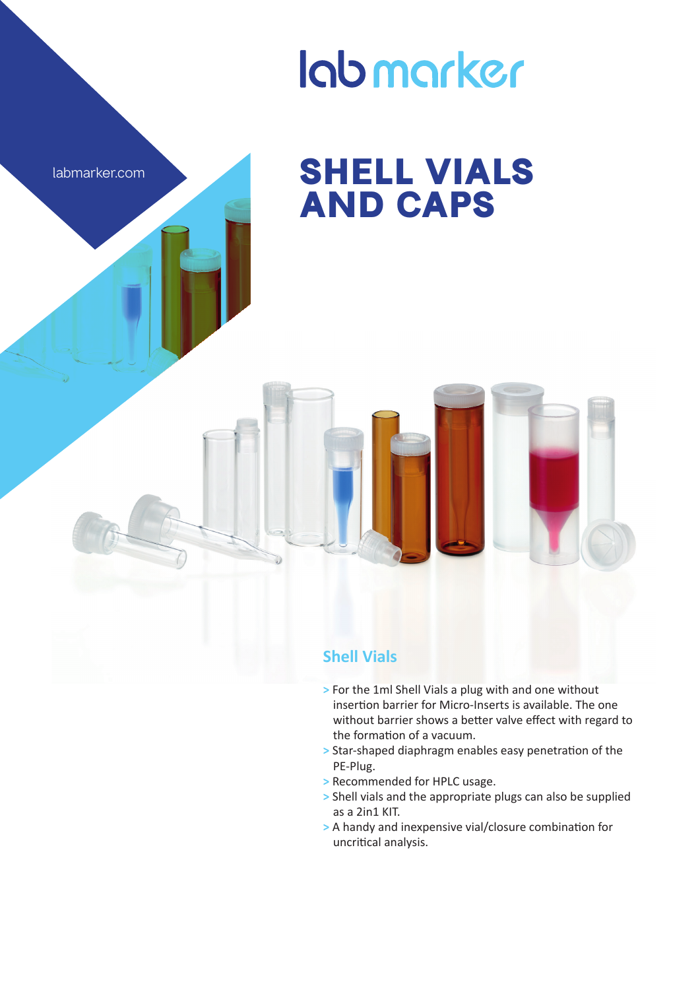

## lab marker

## **SHELL VIALS AND CAPS**

## **Shell Vials**

- **>** For the 1ml Shell Vials a plug with and one without insertion barrier for Micro-Inserts is available. The one without barrier shows a better valve effect with regard to the formation of a vacuum.
- **>** Star-shaped diaphragm enables easy penetration of the PE-Plug.
- **>** Recommended for HPLC usage.
- **>** Shell vials and the appropriate plugs can also be supplied as a 2in1 KIT.
- **>** A handy and inexpensive vial/closure combination for uncritical analysis.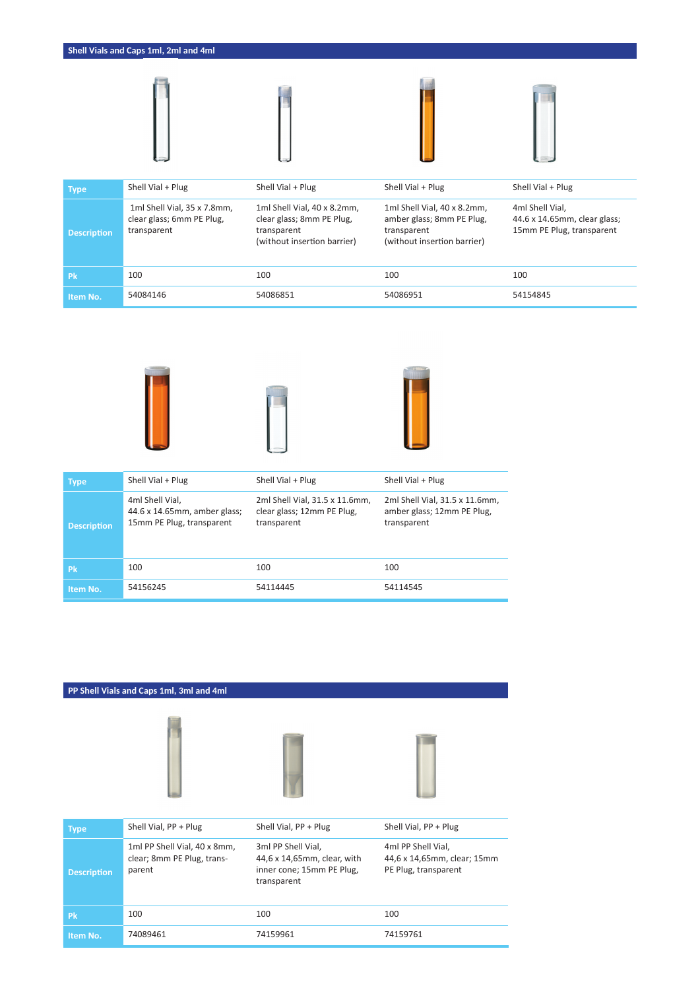

| Type               | Shell Vial + Plug                                                       | Shell Vial + Plug                                                                                      | Shell Vial + Plug                                                                                      | Shell Vial + Plug                                                            |
|--------------------|-------------------------------------------------------------------------|--------------------------------------------------------------------------------------------------------|--------------------------------------------------------------------------------------------------------|------------------------------------------------------------------------------|
| <b>Description</b> | 1ml Shell Vial, 35 x 7.8mm,<br>clear glass; 6mm PE Plug,<br>transparent | 1ml Shell Vial, 40 x 8.2mm,<br>clear glass; 8mm PE Plug,<br>transparent<br>(without insertion barrier) | 1ml Shell Vial, 40 x 8.2mm,<br>amber glass; 8mm PE Plug,<br>transparent<br>(without insertion barrier) | 4ml Shell Vial.<br>44.6 x 14.65mm, clear glass;<br>15mm PE Plug, transparent |
| <b>Pk</b>          | 100                                                                     | 100                                                                                                    | 100                                                                                                    | 100                                                                          |
| Item No.           | 54084146                                                                | 54086851                                                                                               | 54086951                                                                                               | 54154845                                                                     |







| <b>Type</b>        | Shell Vial + Plug                                                            | Shell Vial + Plug                                                           | Shell Vial + Plug                                                           |
|--------------------|------------------------------------------------------------------------------|-----------------------------------------------------------------------------|-----------------------------------------------------------------------------|
| <b>Description</b> | 4ml Shell Vial,<br>44.6 x 14.65mm, amber glass;<br>15mm PE Plug, transparent | 2ml Shell Vial, 31.5 x 11.6mm,<br>clear glass; 12mm PE Plug,<br>transparent | 2ml Shell Vial, 31.5 x 11.6mm,<br>amber glass; 12mm PE Plug,<br>transparent |
| <b>Pk</b>          | 100                                                                          | 100                                                                         | 100                                                                         |
| Item No.           | 54156245                                                                     | 54114445                                                                    | 54114545                                                                    |

## **PP Shell Vials and Caps 1ml, 3ml and 4ml**





| <b>Type</b>        | Shell Vial, PP + Plug                                                | Shell Vial, PP + Plug                                                                         | Shell Vial, PP + Plug                                                     |
|--------------------|----------------------------------------------------------------------|-----------------------------------------------------------------------------------------------|---------------------------------------------------------------------------|
| <b>Description</b> | 1ml PP Shell Vial, 40 x 8mm,<br>clear; 8mm PE Plug, trans-<br>parent | 3ml PP Shell Vial,<br>44,6 x 14,65mm, clear, with<br>inner cone; 15mm PE Plug,<br>transparent | 4ml PP Shell Vial,<br>44,6 x 14,65mm, clear; 15mm<br>PE Plug, transparent |
| <b>Pk</b>          | 100                                                                  | 100                                                                                           | 100                                                                       |
| Item No.           | 74089461                                                             | 74159961                                                                                      | 74159761                                                                  |